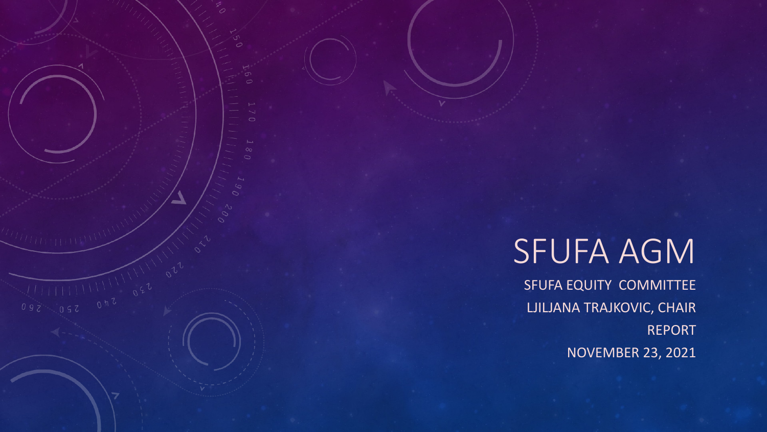# SFUFA AGM

 $\frac{1}{100}$ 

SFUFA EQUITY COMMITTEE LJILJANA TRAJKOVIC, CHAIR REPORT NOVEMBER 23, 2021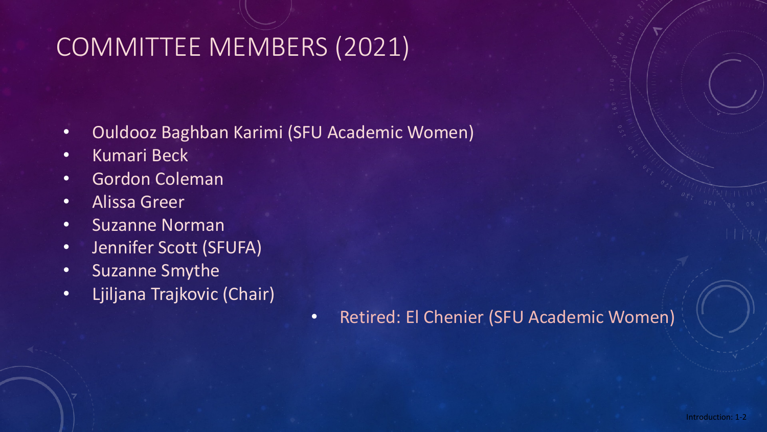# COMMITTEE MEMBERS (2021)

- Ouldooz Baghban Karimi (SFU Academic Women)
- Kumari Beck
- Gordon Coleman
- Alissa Greer
- Suzanne Norman
- Jennifer Scott (SFUFA)
- Suzanne Smythe
- Ljiljana Trajkovic (Chair)
- Retired: El Chenier (SFU Academic Women)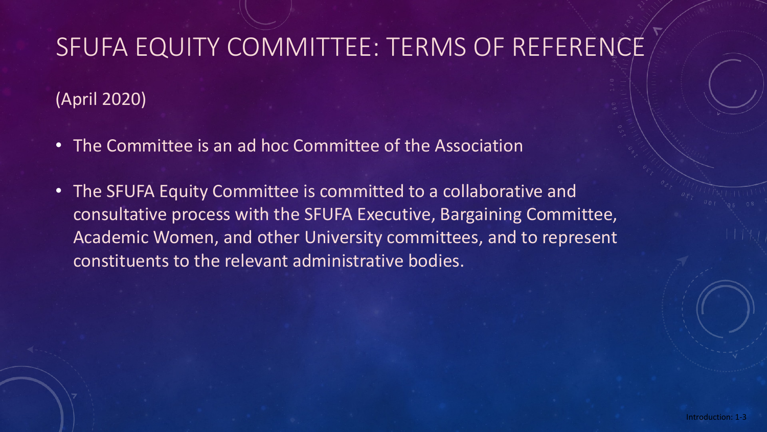# SFUFA EQUITY COMMITTEE: TERMS OF REFERENCE

(April 2020)

- The Committee is an ad hoc Committee of the Association
- The SFUFA Equity Committee is committed to a collaborative and consultative process with the SFUFA Executive, Bargaining Committee, Academic Women, and other University committees, and to represent constituents to the relevant administrative bodies.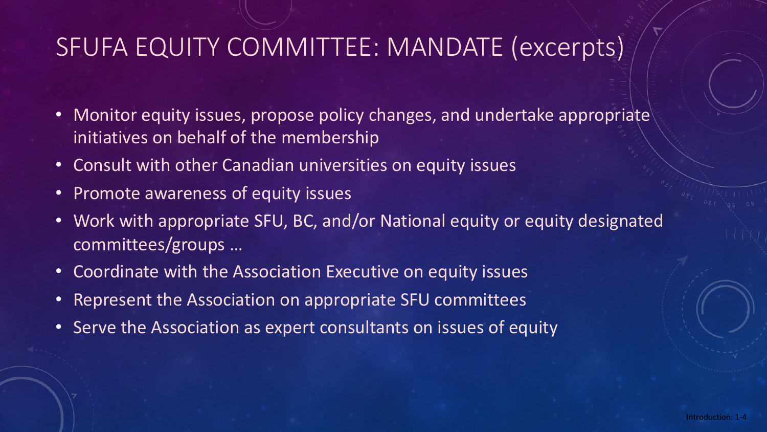# SFUFA EQUITY COMMITTEE: MANDATE (excerpts)

- Monitor equity issues, propose policy changes, and undertake appropriate initiatives on behalf of the membership
- Consult with other Canadian universities on equity issues
- Promote awareness of equity issues
- Work with appropriate SFU, BC, and/or National equity or equity designated committees/groups …
- Coordinate with the Association Executive on equity issues
- Represent the Association on appropriate SFU committees
- Serve the Association as expert consultants on issues of equity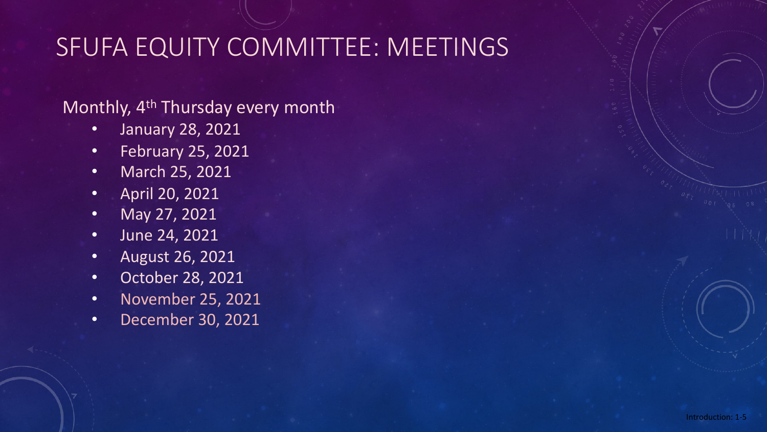# SFUFA EQUITY COMMITTEE: MEETINGS

#### Monthly, 4<sup>th</sup> Thursday every month

- January 28, 2021
- February 25, 2021
- March 25, 2021
- April 20, 2021
- May 27, 2021
- June 24, 2021
- August 26, 2021
- October 28, 2021
- November 25, 2021
- December 30, 2021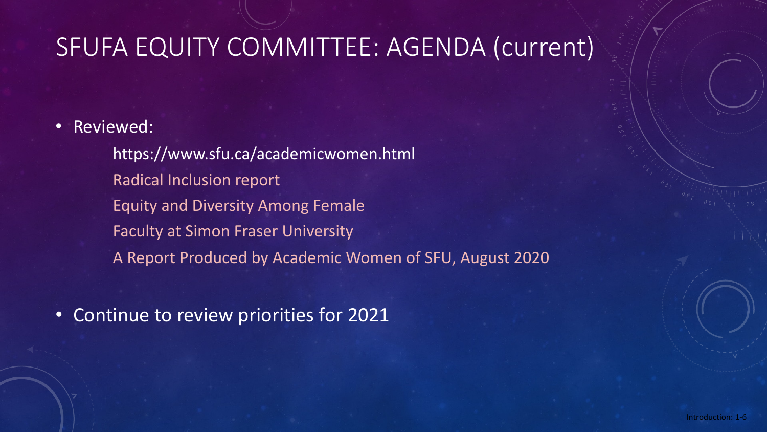# SFUFA EQUITY COMMITTEE: AGENDA (current)

• Reviewed:

https://www.sfu.ca/academicwomen.html Radical Inclusion report Equity and Diversity Among Female Faculty at Simon Fraser University A Report Produced by Academic Women of SFU, August 2020

• Continue to review priorities for 2021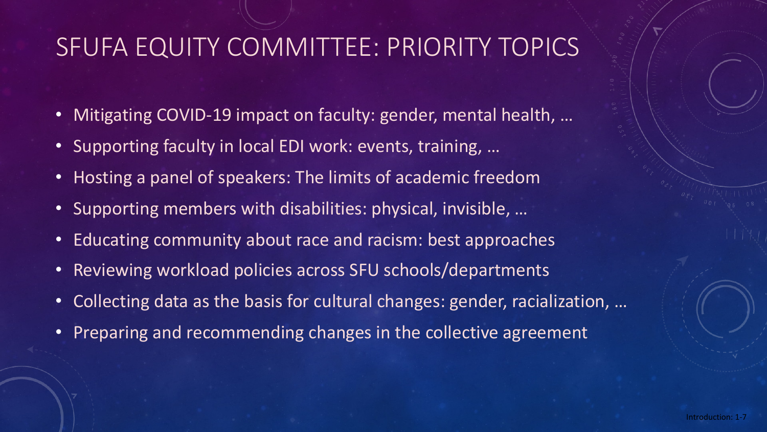# SFUFA EQUITY COMMITTEE: PRIORITY TOPICS

- Mitigating COVID-19 impact on faculty: gender, mental health, …
- Supporting faculty in local EDI work: events, training, …
- Hosting a panel of speakers: The limits of academic freedom
- Supporting members with disabilities: physical, invisible, …
- Educating community about race and racism: best approaches
- Reviewing workload policies across SFU schools/departments
- Collecting data as the basis for cultural changes: gender, racialization, …
- Preparing and recommending changes in the collective agreement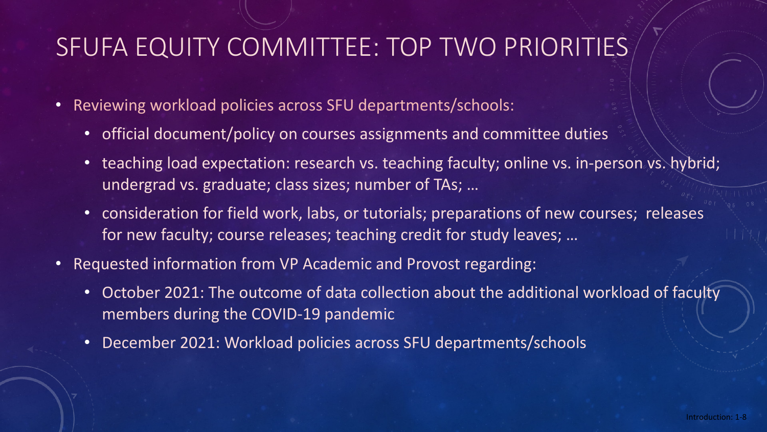# SFUFA EQUITY COMMITTEE: TOP TWO PRIORITIES

- Reviewing workload policies across SFU departments/schools:
	- official document/policy on courses assignments and committee duties
	- teaching load expectation: research vs. teaching faculty; online vs. in-person vs. hybrid; undergrad vs. graduate; class sizes; number of TAs; …
	- consideration for field work, labs, or tutorials; preparations of new courses; releases for new faculty; course releases; teaching credit for study leaves; …
- Requested information from VP Academic and Provost regarding:
	- October 2021: The outcome of data collection about the additional workload of faculty members during the COVID-19 pandemic
	- December 2021: Workload policies across SFU departments/schools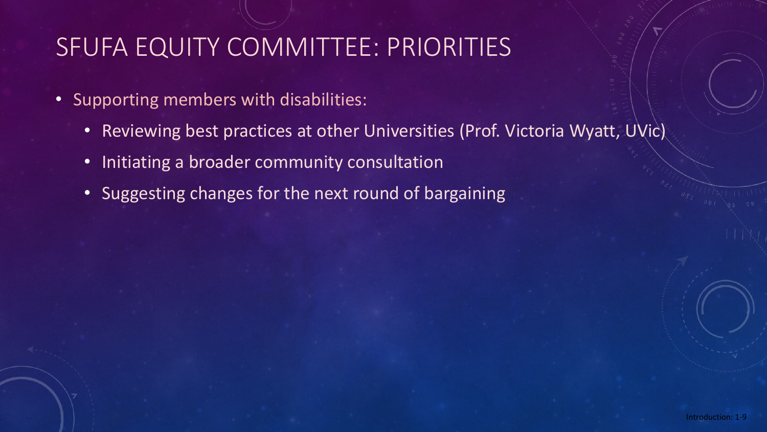# SFUFA EQUITY COMMITTEE: PRIORITIES

- Supporting members with disabilities:
	- Reviewing best practices at other Universities (Prof. Victoria Wyatt, UVic)
	- Initiating a broader community consultation
	- Suggesting changes for the next round of bargaining